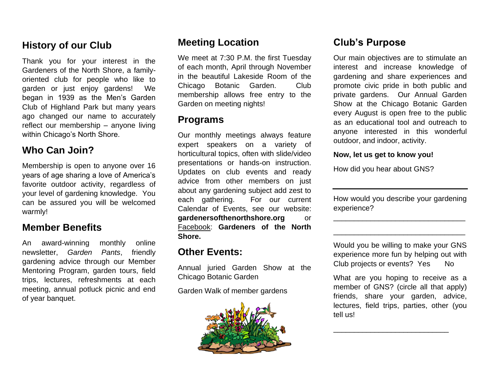## **History of our Club**

Thank you for your interest in the Gardeners of the North Shore, a familyoriented club for people who like to garden or just enjoy gardens! We began in 1939 as the Men's Garden Club of Highland Park but many years ago changed our name to accurately reflect our membership – anyone living within Chicago's North Shore.

## **Who Can Join?**

Membership is open to anyone over 16 years of age sharing a love of America's favorite outdoor activity, regardless of your level of gardening knowledge. You can be assured you will be welcomed warmly!

## **Member Benefits**

An award-winning monthly online newsletter, *Garden Pants*, friendly gardening advice through our Member Mentoring Program, garden tours, field trips, lectures, refreshments at each meeting, annual potluck picnic and end of year banquet.

## **Meeting Location**

We meet at 7:30 P.M. the first Tuesday of each month, April through November in the beautiful Lakeside Room of the Chicago Botanic Garden. Club membership allows free entry to the Garden on meeting nights!

### **Programs**

Our monthly meetings always feature expert speakers on a variety of horticultural topics, often with slide/video presentations or hands-on instruction. Updates on club events and ready advice from other members on just about any gardening subject add zest to each gathering. For our current Calendar of Events, see our website: **gardenersofthenorthshore.org** or Facebook: **Gardeners of the North Shore.**

### **Other Events:**

Annual juried Garden Show at the Chicago Botanic Garden

Garden Walk of member gardens



## **Club's Purpose**

Our main objectives are to stimulate an interest and increase knowledge of gardening and share experiences and promote civic pride in both public and private gardens. Our Annual Garden Show at the Chicago Botanic Garden every August is open free to the public as an educational tool and outreach to anyone interested in this wonderful outdoor, and indoor, activity.

#### **Now, let us get to know you!**

How did you hear about GNS?

How would you describe your gardening experience?

\_\_\_\_\_\_\_\_\_\_\_\_\_\_\_\_\_\_\_\_\_\_\_\_\_\_\_\_\_\_\_\_

\_\_\_\_\_\_\_\_\_\_\_\_\_\_\_\_\_\_\_\_\_\_\_\_\_\_\_\_\_\_\_\_

Would you be willing to make your GNS experience more fun by helping out with Club projects or events? Yes No

What are you hoping to receive as a member of GNS? (circle all that apply) friends, share your garden, advice, lectures, field trips, parties, other (you tell us!

\_\_\_\_\_\_\_\_\_\_\_\_\_\_\_\_\_\_\_\_\_\_\_\_\_\_\_\_